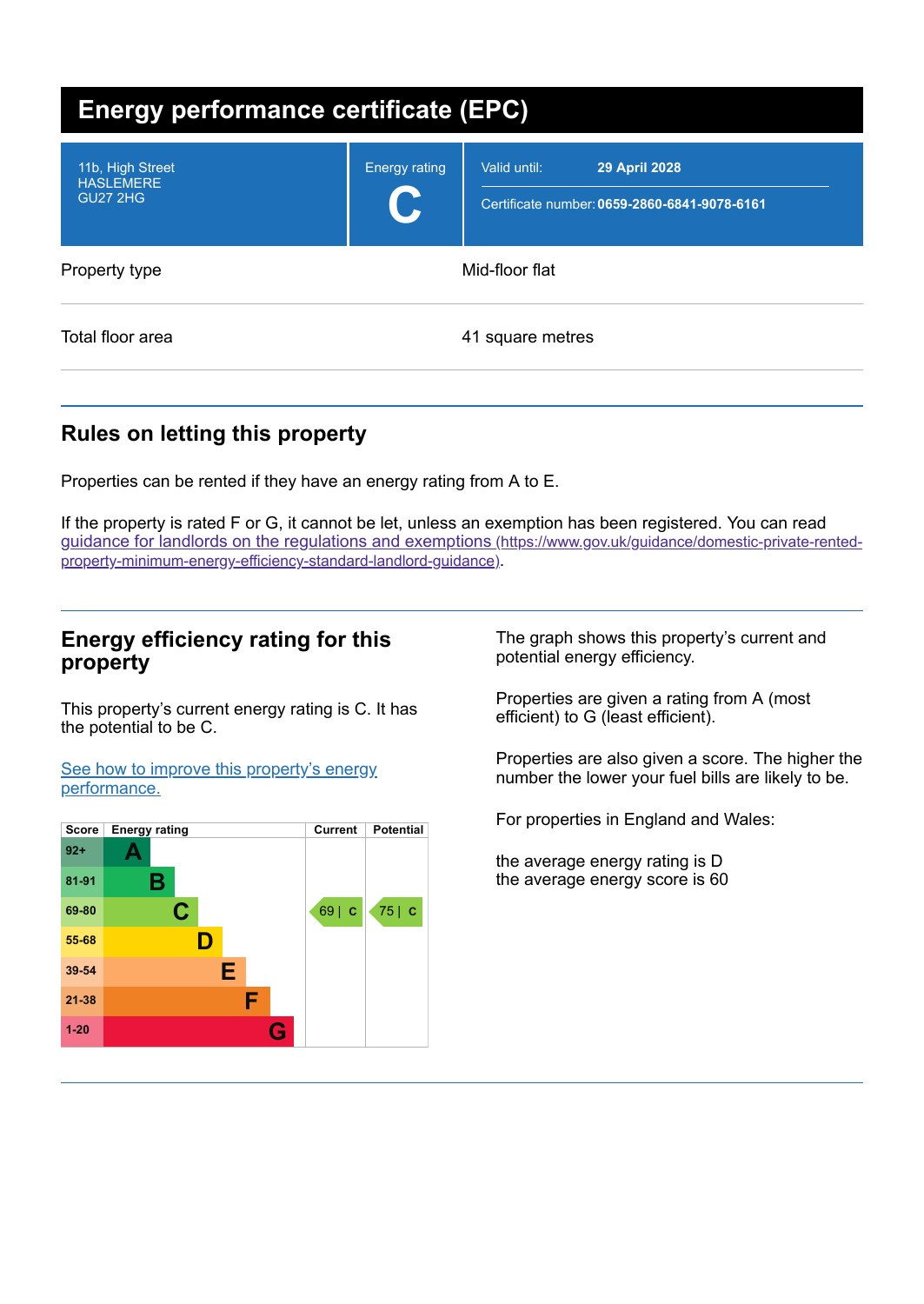| <b>Energy performance certificate (EPC)</b>             |                      |                                                                                      |  |
|---------------------------------------------------------|----------------------|--------------------------------------------------------------------------------------|--|
| 11b, High Street<br><b>HASLEMERE</b><br><b>GU27 2HG</b> | <b>Energy rating</b> | Valid until:<br><b>29 April 2028</b><br>Certificate number: 0659-2860-6841-9078-6161 |  |
| Property type                                           |                      | Mid-floor flat                                                                       |  |
| Total floor area                                        |                      | 41 square metres                                                                     |  |

# **Rules on letting this property**

Properties can be rented if they have an energy rating from A to E.

If the property is rated F or G, it cannot be let, unless an exemption has been registered. You can read guidance for landlords on the regulations and exemptions (https://www.gov.uk/guidance/domestic-private-rented[property-minimum-energy-efficiency-standard-landlord-guidance\)](https://www.gov.uk/guidance/domestic-private-rented-property-minimum-energy-efficiency-standard-landlord-guidance).

### **Energy efficiency rating for this property**

This property's current energy rating is C. It has the potential to be C.

See how to improve this property's energy [performance.](#page-2-0)



The graph shows this property's current and potential energy efficiency.

Properties are given a rating from A (most efficient) to G (least efficient).

Properties are also given a score. The higher the number the lower your fuel bills are likely to be.

For properties in England and Wales:

the average energy rating is D the average energy score is 60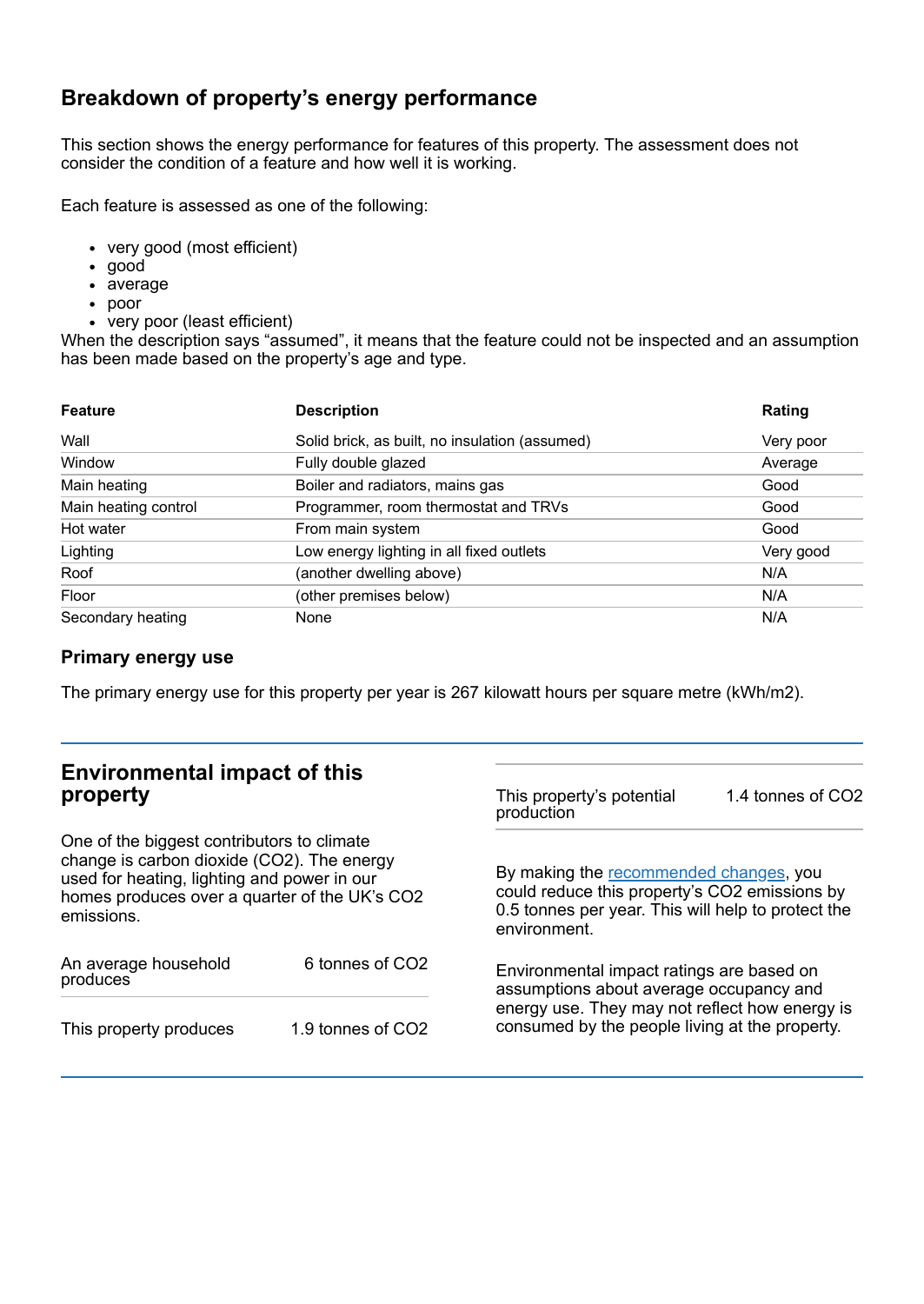# **Breakdown of property's energy performance**

This section shows the energy performance for features of this property. The assessment does not consider the condition of a feature and how well it is working.

Each feature is assessed as one of the following:

- very good (most efficient)
- good
- average
- poor
- very poor (least efficient)

When the description says "assumed", it means that the feature could not be inspected and an assumption has been made based on the property's age and type.

| <b>Feature</b>       | <b>Description</b>                             | Rating    |  |
|----------------------|------------------------------------------------|-----------|--|
| Wall                 | Solid brick, as built, no insulation (assumed) | Very poor |  |
| Window               | Fully double glazed                            | Average   |  |
| Main heating         | Boiler and radiators, mains gas                | Good      |  |
| Main heating control | Programmer, room thermostat and TRVs           | Good      |  |
| Hot water            | From main system                               | Good      |  |
| Lighting             | Low energy lighting in all fixed outlets       | Very good |  |
| Roof                 | (another dwelling above)                       | N/A       |  |
| Floor                | (other premises below)                         | N/A       |  |
| Secondary heating    | None                                           | N/A       |  |

### **Primary energy use**

The primary energy use for this property per year is 267 kilowatt hours per square metre (kWh/m2).

| <b>Environmental impact of this</b><br>property                                                                                                                                                        |                             | This property's potential<br>production                                                                                                                                                  | 1.4 tonnes of CO2 |
|--------------------------------------------------------------------------------------------------------------------------------------------------------------------------------------------------------|-----------------------------|------------------------------------------------------------------------------------------------------------------------------------------------------------------------------------------|-------------------|
| One of the biggest contributors to climate<br>change is carbon dioxide (CO2). The energy<br>used for heating, lighting and power in our<br>homes produces over a quarter of the UK's CO2<br>emissions. |                             | By making the recommended changes, you<br>could reduce this property's CO2 emissions by<br>0.5 tonnes per year. This will help to protect the<br>environment.                            |                   |
| An average household<br>produces                                                                                                                                                                       | 6 tonnes of CO <sub>2</sub> | Environmental impact ratings are based on<br>assumptions about average occupancy and<br>energy use. They may not reflect how energy is<br>consumed by the people living at the property. |                   |
| This property produces                                                                                                                                                                                 | 1.9 tonnes of CO2           |                                                                                                                                                                                          |                   |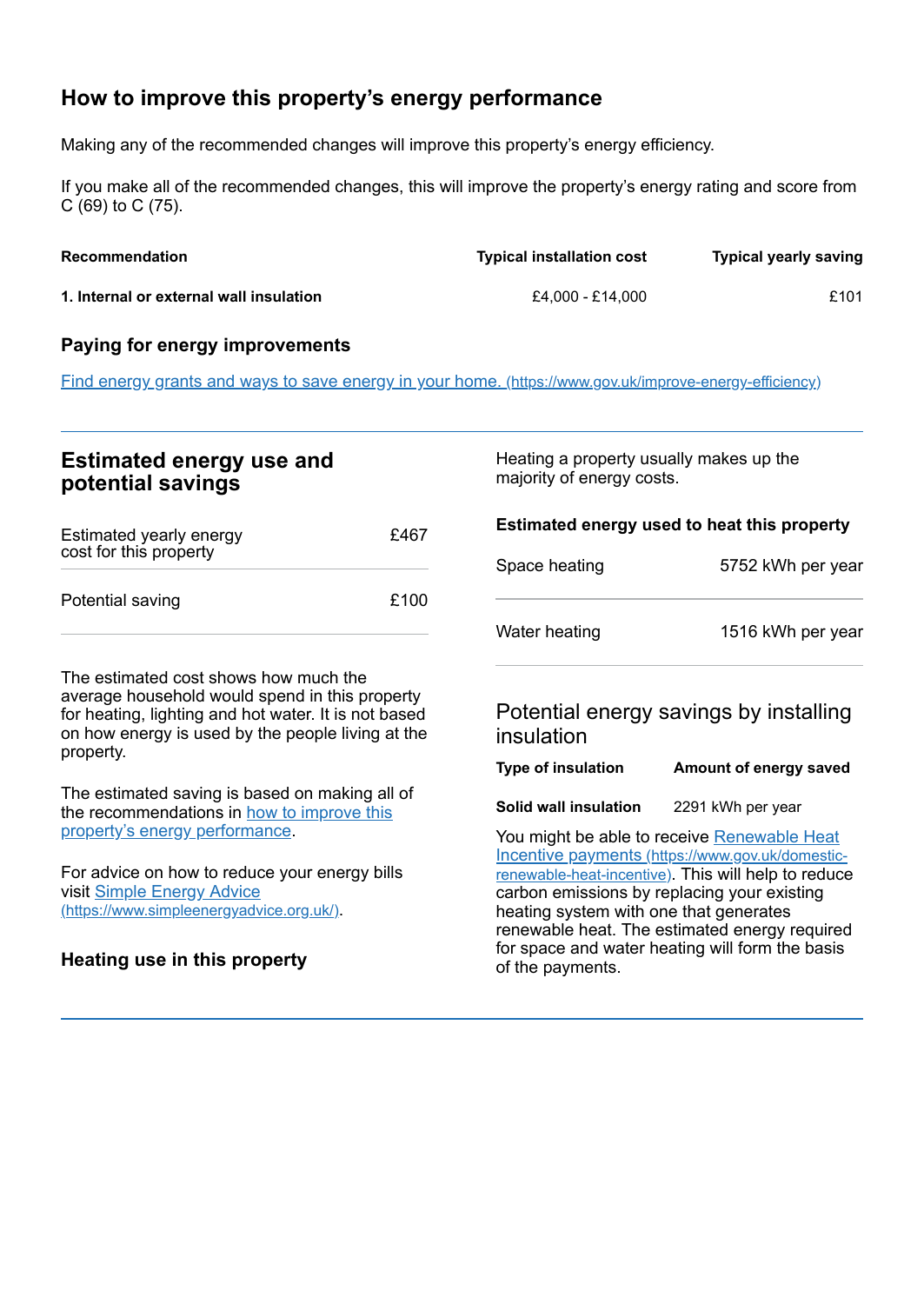# <span id="page-2-0"></span>**How to improve this property's energy performance**

Making any of the recommended changes will improve this property's energy efficiency.

If you make all of the recommended changes, this will improve the property's energy rating and score from C (69) to C (75).

| <b>Recommendation</b>                   | <b>Typical installation cost</b> | <b>Typical yearly saving</b> |
|-----------------------------------------|----------------------------------|------------------------------|
| 1. Internal or external wall insulation | £4.000 - £14.000                 | £101                         |

#### **Paying for energy improvements**

Find energy grants and ways to save energy in your home. [\(https://www.gov.uk/improve-energy-efficiency\)](https://www.gov.uk/improve-energy-efficiency)

### **Estimated energy use and potential savings**

| Estimated yearly energy<br>cost for this property | £467 |
|---------------------------------------------------|------|
| Potential saving                                  | £100 |

The estimated cost shows how much the average household would spend in this property for heating, lighting and hot water. It is not based on how energy is used by the people living at the property.

The estimated saving is based on making all of the [recommendations](#page-2-0) in how to improve this property's energy performance.

For advice on how to reduce your energy bills visit Simple Energy Advice [\(https://www.simpleenergyadvice.org.uk/\)](https://www.simpleenergyadvice.org.uk/).

### **Heating use in this property**

Heating a property usually makes up the majority of energy costs.

**Estimated energy used to heat this property** Space heating 5752 kWh per year Water heating 1516 kWh per year

## Potential energy savings by installing insulation

| <b>Type of insulation</b> | Amount of energy saved |
|---------------------------|------------------------|

#### **Solid wall insulation** 2291 kWh per year

You might be able to receive Renewable Heat Incentive payments [\(https://www.gov.uk/domestic](https://www.gov.uk/domestic-renewable-heat-incentive)renewable-heat-incentive). This will help to reduce carbon emissions by replacing your existing heating system with one that generates renewable heat. The estimated energy required for space and water heating will form the basis of the payments.